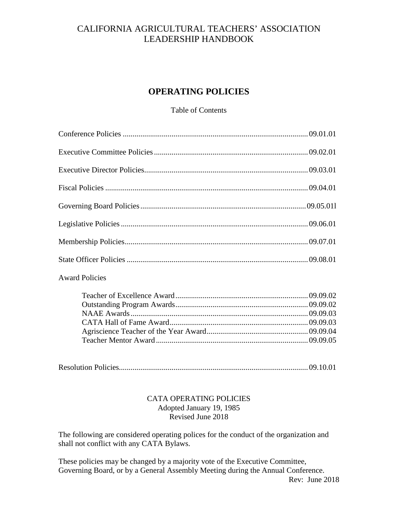# CALIFORNIA AGRICULTURAL TEACHERS' ASSOCIATION LEADERSHIP HANDBOOK

# **OPERATING POLICIES**

### Table of Contents

| <b>Award Policies</b> |  |
|-----------------------|--|
|                       |  |
|                       |  |
|                       |  |
|                       |  |
|                       |  |
|                       |  |

|--|--|--|--|--|

### CATA OPERATING POLICIES Adopted January 19, 1985 Revised June 2018

The following are considered operating polices for the conduct of the organization and shall not conflict with any CATA Bylaws.

These policies may be changed by a majority vote of the Executive Committee, Governing Board, or by a General Assembly Meeting during the Annual Conference. Rev: June 2018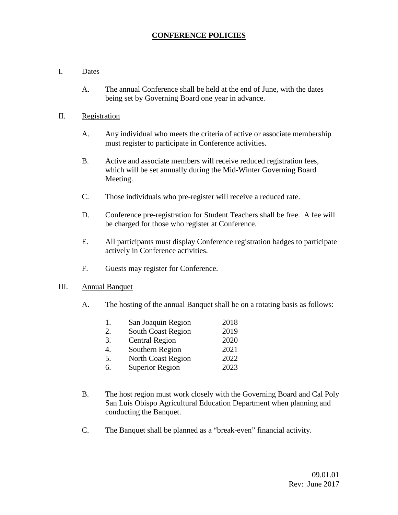## **CONFERENCE POLICIES**

#### I. Dates

A. The annual Conference shall be held at the end of June, with the dates being set by Governing Board one year in advance.

#### II. Registration

- A. Any individual who meets the criteria of active or associate membership must register to participate in Conference activities.
- B. Active and associate members will receive reduced registration fees, which will be set annually during the Mid-Winter Governing Board Meeting.
- C. Those individuals who pre-register will receive a reduced rate.
- D. Conference pre-registration for Student Teachers shall be free. A fee will be charged for those who register at Conference.
- E. All participants must display Conference registration badges to participate actively in Conference activities.
- F. Guests may register for Conference.

#### III. Annual Banquet

A. The hosting of the annual Banquet shall be on a rotating basis as follows:

| 1. | San Joaquin Region        | 2018 |
|----|---------------------------|------|
| 2. | <b>South Coast Region</b> | 2019 |
| 3. | <b>Central Region</b>     | 2020 |
| 4. | Southern Region           | 2021 |
| 5. | <b>North Coast Region</b> | 2022 |
| 6. | <b>Superior Region</b>    | 2023 |
|    |                           |      |

- B. The host region must work closely with the Governing Board and Cal Poly San Luis Obispo Agricultural Education Department when planning and conducting the Banquet.
- C. The Banquet shall be planned as a "break-even" financial activity.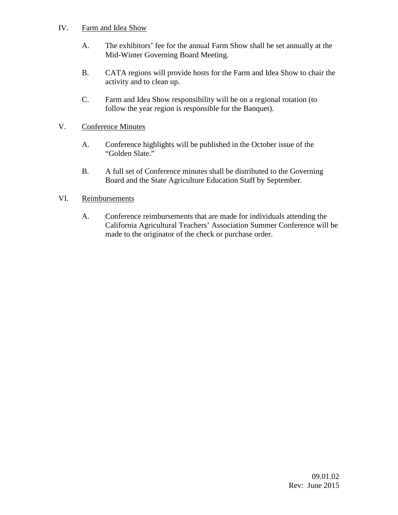### IV. Farm and Idea Show

- A. The exhibitors' fee for the annual Farm Show shall be set annually at the Mid-Winter Governing Board Meeting.
- B. CATA regions will provide hosts for the Farm and Idea Show to chair the activity and to clean up.
- C. Farm and Idea Show responsibility will be on a regional rotation (to follow the year region is responsible for the Banquet).

## V. Conference Minutes

- A. Conference highlights will be published in the October issue of the "Golden Slate."
- B. A full set of Conference minutes shall be distributed to the Governing Board and the State Agriculture Education Staff by September.

## VI. Reimbursements

A. Conference reimbursements that are made for individuals attending the California Agricultural Teachers' Association Summer Conference will be made to the originator of the check or purchase order.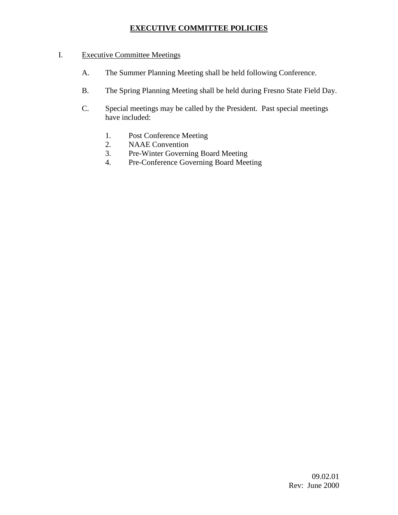## **EXECUTIVE COMMITTEE POLICIES**

## I. Executive Committee Meetings

- A. The Summer Planning Meeting shall be held following Conference.
- B. The Spring Planning Meeting shall be held during Fresno State Field Day.
- C. Special meetings may be called by the President. Past special meetings have included:
	- 1. Post Conference Meeting
	- 2. NAAE Convention
	- 3. Pre-Winter Governing Board Meeting
	- 4. Pre-Conference Governing Board Meeting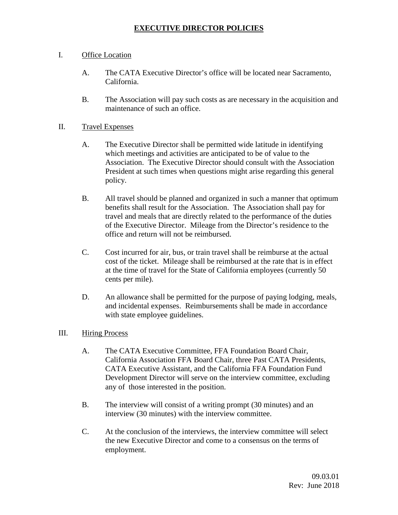## **EXECUTIVE DIRECTOR POLICIES**

### I. Office Location

- A. The CATA Executive Director's office will be located near Sacramento, California.
- B. The Association will pay such costs as are necessary in the acquisition and maintenance of such an office.

#### II. Travel Expenses

- A. The Executive Director shall be permitted wide latitude in identifying which meetings and activities are anticipated to be of value to the Association. The Executive Director should consult with the Association President at such times when questions might arise regarding this general policy.
- B. All travel should be planned and organized in such a manner that optimum benefits shall result for the Association. The Association shall pay for travel and meals that are directly related to the performance of the duties of the Executive Director. Mileage from the Director's residence to the office and return will not be reimbursed.
- C. Cost incurred for air, bus, or train travel shall be reimburse at the actual cost of the ticket. Mileage shall be reimbursed at the rate that is in effect at the time of travel for the State of California employees (currently 50 cents per mile).
- D. An allowance shall be permitted for the purpose of paying lodging, meals, and incidental expenses. Reimbursements shall be made in accordance with state employee guidelines.

#### III. Hiring Process

- A. The CATA Executive Committee, FFA Foundation Board Chair, California Association FFA Board Chair, three Past CATA Presidents, CATA Executive Assistant, and the California FFA Foundation Fund Development Director will serve on the interview committee, excluding any of those interested in the position.
- B. The interview will consist of a writing prompt (30 minutes) and an interview (30 minutes) with the interview committee.
- C. At the conclusion of the interviews, the interview committee will select the new Executive Director and come to a consensus on the terms of employment.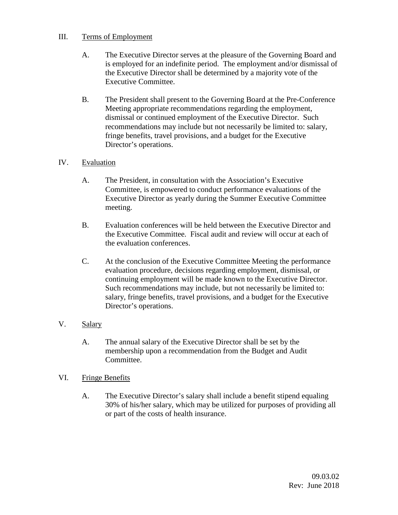## III. Terms of Employment

- A. The Executive Director serves at the pleasure of the Governing Board and is employed for an indefinite period. The employment and/or dismissal of the Executive Director shall be determined by a majority vote of the Executive Committee.
- B. The President shall present to the Governing Board at the Pre-Conference Meeting appropriate recommendations regarding the employment, dismissal or continued employment of the Executive Director. Such recommendations may include but not necessarily be limited to: salary, fringe benefits, travel provisions, and a budget for the Executive Director's operations.

## IV. Evaluation

- A. The President, in consultation with the Association's Executive Committee, is empowered to conduct performance evaluations of the Executive Director as yearly during the Summer Executive Committee meeting.
- B. Evaluation conferences will be held between the Executive Director and the Executive Committee. Fiscal audit and review will occur at each of the evaluation conferences.
- C. At the conclusion of the Executive Committee Meeting the performance evaluation procedure, decisions regarding employment, dismissal, or continuing employment will be made known to the Executive Director. Such recommendations may include, but not necessarily be limited to: salary, fringe benefits, travel provisions, and a budget for the Executive Director's operations.

## V. Salary

A. The annual salary of the Executive Director shall be set by the membership upon a recommendation from the Budget and Audit Committee.

## VI. Fringe Benefits

A. The Executive Director's salary shall include a benefit stipend equaling 30% of his/her salary, which may be utilized for purposes of providing all or part of the costs of health insurance.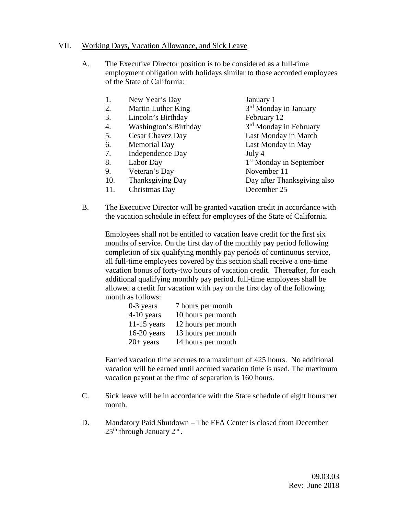#### VII. Working Days, Vacation Allowance, and Sick Leave

A. The Executive Director position is to be considered as a full-time employment obligation with holidays similar to those accorded employees of the State of California:

| 1.  | New Year's Day        | January 1                           |
|-----|-----------------------|-------------------------------------|
| 2.  | Martin Luther King    | 3 <sup>rd</sup> Monday in January   |
| 3.  | Lincoln's Birthday    | February 12                         |
| 4.  | Washington's Birthday | 3 <sup>rd</sup> Monday in February  |
| 5.  | Cesar Chavez Day      | Last Monday in March                |
| 6.  | <b>Memorial Day</b>   | Last Monday in May                  |
| 7.  | Independence Day      | July 4                              |
| 8.  | Labor Day             | 1 <sup>st</sup> Monday in September |
| 9.  | Veteran's Day         | November 11                         |
| 10. | Thanksgiving Day      | Day after Thanksgiving also         |
| 11. | Christmas Day         | December 25                         |
|     |                       |                                     |

B. The Executive Director will be granted vacation credit in accordance with the vacation schedule in effect for employees of the State of California.

Employees shall not be entitled to vacation leave credit for the first six months of service. On the first day of the monthly pay period following completion of six qualifying monthly pay periods of continuous service, all full-time employees covered by this section shall receive a one-time vacation bonus of forty-two hours of vacation credit. Thereafter, for each additional qualifying monthly pay period, full-time employees shall be allowed a credit for vacation with pay on the first day of the following month as follows:

| 0-3 years     | 7 hours per month  |
|---------------|--------------------|
| 4-10 years    | 10 hours per month |
| $11-15$ years | 12 hours per month |
| $16-20$ years | 13 hours per month |
| $20+$ years   | 14 hours per month |

Earned vacation time accrues to a maximum of 425 hours. No additional vacation will be earned until accrued vacation time is used. The maximum vacation payout at the time of separation is 160 hours.

- C. Sick leave will be in accordance with the State schedule of eight hours per month.
- D. Mandatory Paid Shutdown The FFA Center is closed from December  $25<sup>th</sup>$  through January  $2<sup>nd</sup>$ .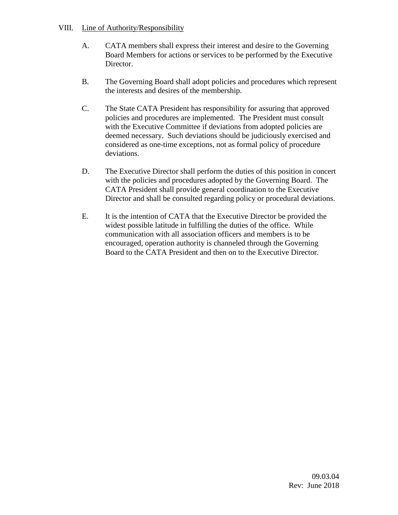#### VIII. Line of Authority/Responsibility

- A. CATA members shall express their interest and desire to the Governing Board Members for actions or services to be performed by the Executive Director.
- B. The Governing Board shall adopt policies and procedures which represent the interests and desires of the membership.
- C. The State CATA President has responsibility for assuring that approved policies and procedures are implemented. The President must consult with the Executive Committee if deviations from adopted policies are deemed necessary. Such deviations should be judiciously exercised and considered as one-time exceptions, not as formal policy of procedure deviations.
- D. The Executive Director shall perform the duties of this position in concert with the policies and procedures adopted by the Governing Board. The CATA President shall provide general coordination to the Executive Director and shall be consulted regarding policy or procedural deviations.
- E. It is the intention of CATA that the Executive Director be provided the widest possible latitude in fulfilling the duties of the office. While communication with all association officers and members is to be encouraged, operation authority is channeled through the Governing Board to the CATA President and then on to the Executive Director.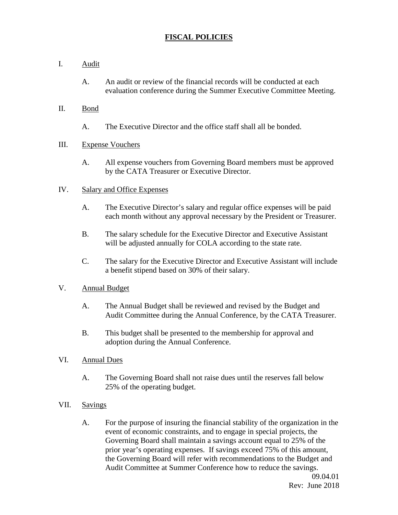## **FISCAL POLICIES**

- I. Audit
	- A. An audit or review of the financial records will be conducted at each evaluation conference during the Summer Executive Committee Meeting.
- II. Bond
	- A. The Executive Director and the office staff shall all be bonded.
- III. Expense Vouchers
	- A. All expense vouchers from Governing Board members must be approved by the CATA Treasurer or Executive Director.

### IV. Salary and Office Expenses

- A. The Executive Director's salary and regular office expenses will be paid each month without any approval necessary by the President or Treasurer.
- B. The salary schedule for the Executive Director and Executive Assistant will be adjusted annually for COLA according to the state rate.
- C. The salary for the Executive Director and Executive Assistant will include a benefit stipend based on 30% of their salary.

## V. Annual Budget

- A. The Annual Budget shall be reviewed and revised by the Budget and Audit Committee during the Annual Conference, by the CATA Treasurer.
- B. This budget shall be presented to the membership for approval and adoption during the Annual Conference.

#### VI. Annual Dues

- A. The Governing Board shall not raise dues until the reserves fall below 25% of the operating budget.
- VII. Savings
	- A. For the purpose of insuring the financial stability of the organization in the event of economic constraints, and to engage in special projects, the Governing Board shall maintain a savings account equal to 25% of the prior year's operating expenses. If savings exceed 75% of this amount, the Governing Board will refer with recommendations to the Budget and Audit Committee at Summer Conference how to reduce the savings.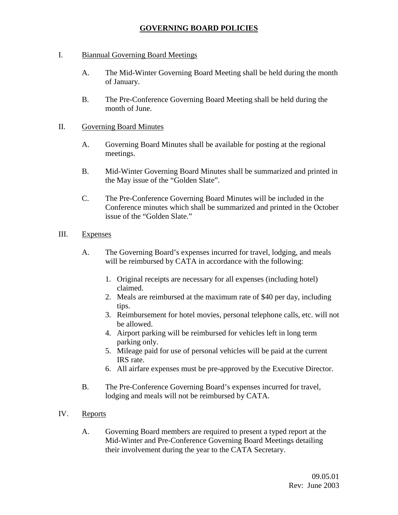## **GOVERNING BOARD POLICIES**

- I. Biannual Governing Board Meetings
	- A. The Mid-Winter Governing Board Meeting shall be held during the month of January.
	- B. The Pre-Conference Governing Board Meeting shall be held during the month of June.

#### II. Governing Board Minutes

- A. Governing Board Minutes shall be available for posting at the regional meetings.
- B. Mid-Winter Governing Board Minutes shall be summarized and printed in the May issue of the "Golden Slate".
- C. The Pre-Conference Governing Board Minutes will be included in the Conference minutes which shall be summarized and printed in the October issue of the "Golden Slate."

#### III. Expenses

- A. The Governing Board's expenses incurred for travel, lodging, and meals will be reimbursed by CATA in accordance with the following:
	- 1. Original receipts are necessary for all expenses (including hotel) claimed.
	- 2. Meals are reimbursed at the maximum rate of \$40 per day, including tips.
	- 3. Reimbursement for hotel movies, personal telephone calls, etc. will not be allowed.
	- 4. Airport parking will be reimbursed for vehicles left in long term parking only.
	- 5. Mileage paid for use of personal vehicles will be paid at the current IRS rate.
	- 6. All airfare expenses must be pre-approved by the Executive Director.
- B. The Pre-Conference Governing Board's expenses incurred for travel, lodging and meals will not be reimbursed by CATA.
- IV. Reports
	- A. Governing Board members are required to present a typed report at the Mid-Winter and Pre-Conference Governing Board Meetings detailing their involvement during the year to the CATA Secretary.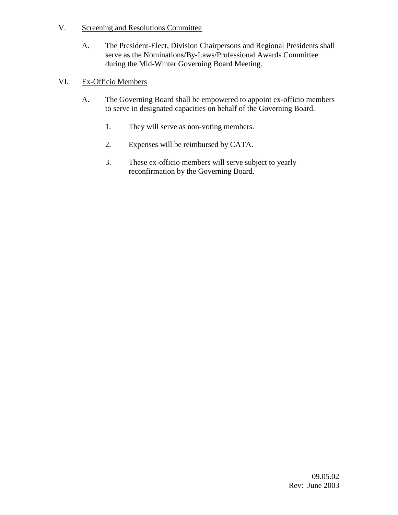- V. Screening and Resolutions Committee
	- A. The President-Elect, Division Chairpersons and Regional Presidents shall serve as the Nominations/By-Laws/Professional Awards Committee during the Mid-Winter Governing Board Meeting.

## VI. Ex-Officio Members

- A. The Governing Board shall be empowered to appoint ex-officio members to serve in designated capacities on behalf of the Governing Board.
	- 1. They will serve as non-voting members.
	- 2. Expenses will be reimbursed by CATA.
	- 3. These ex-officio members will serve subject to yearly reconfirmation by the Governing Board.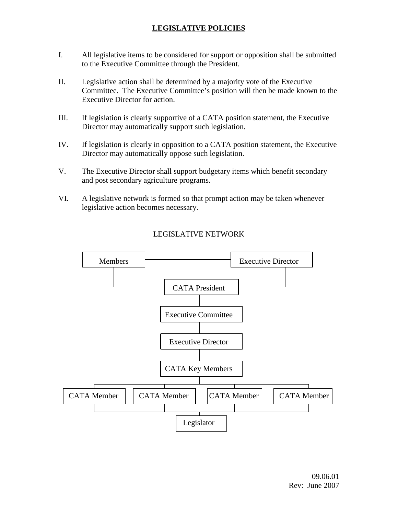# **LEGISLATIVE POLICIES**

- I. All legislative items to be considered for support or opposition shall be submitted to the Executive Committee through the President.
- II. Legislative action shall be determined by a majority vote of the Executive Committee. The Executive Committee's position will then be made known to the Executive Director for action.
- III. If legislation is clearly supportive of a CATA position statement, the Executive Director may automatically support such legislation.
- IV. If legislation is clearly in opposition to a CATA position statement, the Executive Director may automatically oppose such legislation.
- V. The Executive Director shall support budgetary items which benefit secondary and post secondary agriculture programs.
- VI. A legislative network is formed so that prompt action may be taken whenever legislative action becomes necessary.



## LEGISLATIVE NETWORK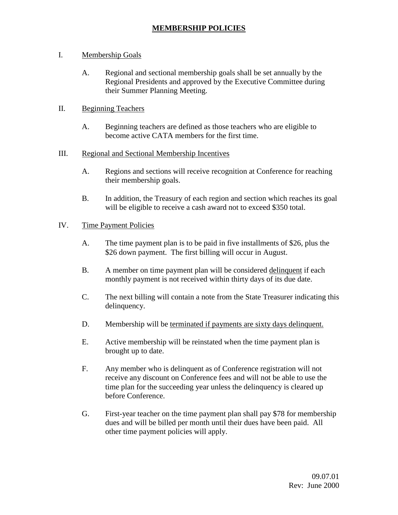## I. Membership Goals

- A. Regional and sectional membership goals shall be set annually by the Regional Presidents and approved by the Executive Committee during their Summer Planning Meeting.
- II. Beginning Teachers
	- A. Beginning teachers are defined as those teachers who are eligible to become active CATA members for the first time.

## III. Regional and Sectional Membership Incentives

- A. Regions and sections will receive recognition at Conference for reaching their membership goals.
- B. In addition, the Treasury of each region and section which reaches its goal will be eligible to receive a cash award not to exceed \$350 total.

## IV. Time Payment Policies

- A. The time payment plan is to be paid in five installments of \$26, plus the \$26 down payment. The first billing will occur in August.
- B. A member on time payment plan will be considered delinquent if each monthly payment is not received within thirty days of its due date.
- C. The next billing will contain a note from the State Treasurer indicating this delinquency.
- D. Membership will be terminated if payments are sixty days delinquent.
- E. Active membership will be reinstated when the time payment plan is brought up to date.
- F. Any member who is delinquent as of Conference registration will not receive any discount on Conference fees and will not be able to use the time plan for the succeeding year unless the delinquency is cleared up before Conference.
- G. First-year teacher on the time payment plan shall pay \$78 for membership dues and will be billed per month until their dues have been paid. All other time payment policies will apply.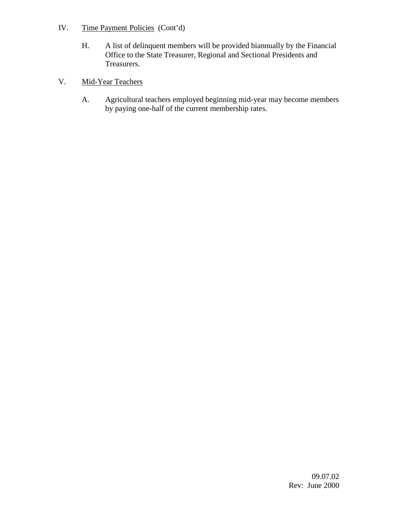- IV. Time Payment Policies (Cont'd)
	- H. A list of delinquent members will be provided biannually by the Financial Office to the State Treasurer, Regional and Sectional Presidents and Treasurers.
- V. Mid-Year Teachers
	- A. Agricultural teachers employed beginning mid-year may become members by paying one-half of the current membership rates.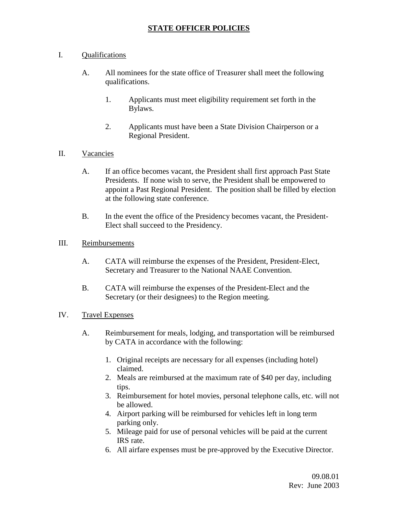## **STATE OFFICER POLICIES**

### I. Qualifications

- A. All nominees for the state office of Treasurer shall meet the following qualifications.
	- 1. Applicants must meet eligibility requirement set forth in the Bylaws.
	- 2. Applicants must have been a State Division Chairperson or a Regional President.
- II. Vacancies
	- A. If an office becomes vacant, the President shall first approach Past State Presidents. If none wish to serve, the President shall be empowered to appoint a Past Regional President. The position shall be filled by election at the following state conference.
	- B. In the event the office of the Presidency becomes vacant, the President-Elect shall succeed to the Presidency.

#### III. Reimbursements

- A. CATA will reimburse the expenses of the President, President-Elect, Secretary and Treasurer to the National NAAE Convention.
- B. CATA will reimburse the expenses of the President-Elect and the Secretary (or their designees) to the Region meeting.

## IV. Travel Expenses

- A. Reimbursement for meals, lodging, and transportation will be reimbursed by CATA in accordance with the following:
	- 1. Original receipts are necessary for all expenses (including hotel) claimed.
	- 2. Meals are reimbursed at the maximum rate of \$40 per day, including tips.
	- 3. Reimbursement for hotel movies, personal telephone calls, etc. will not be allowed.
	- 4. Airport parking will be reimbursed for vehicles left in long term parking only.
	- 5. Mileage paid for use of personal vehicles will be paid at the current IRS rate.
	- 6. All airfare expenses must be pre-approved by the Executive Director.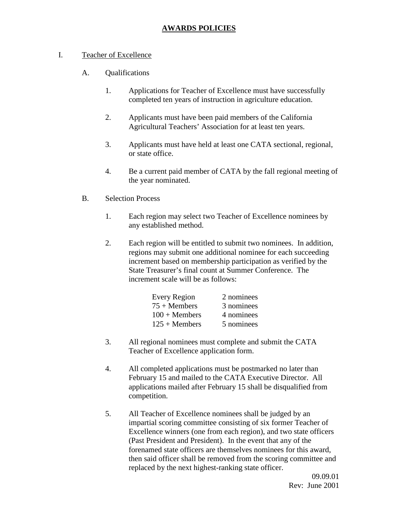## **AWARDS POLICIES**

- I. Teacher of Excellence
	- A. Qualifications
		- 1. Applications for Teacher of Excellence must have successfully completed ten years of instruction in agriculture education.
		- 2. Applicants must have been paid members of the California Agricultural Teachers' Association for at least ten years.
		- 3. Applicants must have held at least one CATA sectional, regional, or state office.
		- 4. Be a current paid member of CATA by the fall regional meeting of the year nominated.
	- B. Selection Process
		- 1. Each region may select two Teacher of Excellence nominees by any established method.
		- 2. Each region will be entitled to submit two nominees. In addition, regions may submit one additional nominee for each succeeding increment based on membership participation as verified by the State Treasurer's final count at Summer Conference. The increment scale will be as follows:

| <b>Every Region</b> | 2 nominees |
|---------------------|------------|
| $75 +$ Members      | 3 nominees |
| $100 +$ Members     | 4 nominees |
| $125 +$ Members     | 5 nominees |

- 3. All regional nominees must complete and submit the CATA Teacher of Excellence application form.
- 4. All completed applications must be postmarked no later than February 15 and mailed to the CATA Executive Director. All applications mailed after February 15 shall be disqualified from competition.
- 5. All Teacher of Excellence nominees shall be judged by an impartial scoring committee consisting of six former Teacher of Excellence winners (one from each region), and two state officers (Past President and President). In the event that any of the forenamed state officers are themselves nominees for this award, then said officer shall be removed from the scoring committee and replaced by the next highest-ranking state officer.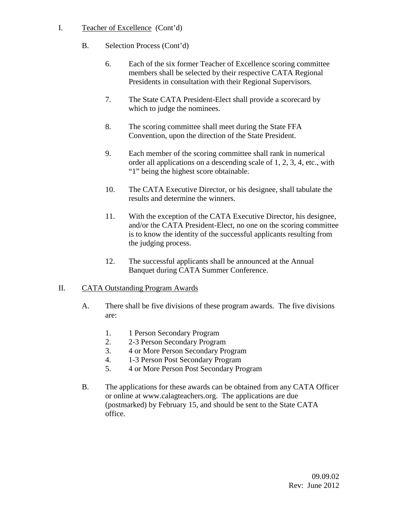- I. Teacher of Excellence (Cont'd)
	- B. Selection Process (Cont'd)
		- 6. Each of the six former Teacher of Excellence scoring committee members shall be selected by their respective CATA Regional Presidents in consultation with their Regional Supervisors.
		- 7. The State CATA President-Elect shall provide a scorecard by which to judge the nominees.
		- 8. The scoring committee shall meet during the State FFA Convention, upon the direction of the State President.
		- 9. Each member of the scoring committee shall rank in numerical order all applications on a descending scale of 1, 2, 3, 4, etc., with "1" being the highest score obtainable.
		- 10. The CATA Executive Director, or his designee, shall tabulate the results and determine the winners.
		- 11. With the exception of the CATA Executive Director, his designee, and/or the CATA President-Elect, no one on the scoring committee is to know the identity of the successful applicants resulting from the judging process.
		- 12. The successful applicants shall be announced at the Annual Banquet during CATA Summer Conference.

## II. CATA Outstanding Program Awards

- A. There shall be five divisions of these program awards. The five divisions are:
	- 1. 1 Person Secondary Program
	- 2. 2-3 Person Secondary Program
	- 3. 4 or More Person Secondary Program
	- 4. 1-3 Person Post Secondary Program
	- 5. 4 or More Person Post Secondary Program
- B. The applications for these awards can be obtained from any CATA Officer or online at www.calagteachers.org. The applications are due (postmarked) by February 15, and should be sent to the State CATA office.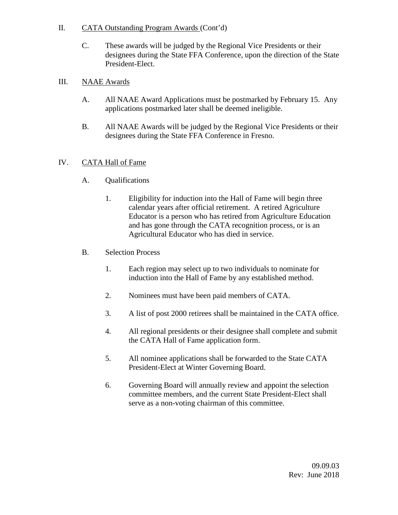### II. CATA Outstanding Program Awards (Cont'd)

C. These awards will be judged by the Regional Vice Presidents or their designees during the State FFA Conference, upon the direction of the State President-Elect.

### III. NAAE Awards

- A. All NAAE Award Applications must be postmarked by February 15. Any applications postmarked later shall be deemed ineligible.
- B. All NAAE Awards will be judged by the Regional Vice Presidents or their designees during the State FFA Conference in Fresno.

## IV. CATA Hall of Fame

- A. Qualifications
	- 1. Eligibility for induction into the Hall of Fame will begin three calendar years after official retirement. A retired Agriculture Educator is a person who has retired from Agriculture Education and has gone through the CATA recognition process, or is an Agricultural Educator who has died in service.
- B. Selection Process
	- 1. Each region may select up to two individuals to nominate for induction into the Hall of Fame by any established method.
	- 2. Nominees must have been paid members of CATA.
	- 3. A list of post 2000 retirees shall be maintained in the CATA office.
	- 4. All regional presidents or their designee shall complete and submit the CATA Hall of Fame application form.
	- 5. All nominee applications shall be forwarded to the State CATA President-Elect at Winter Governing Board.
	- 6. Governing Board will annually review and appoint the selection committee members, and the current State President-Elect shall serve as a non-voting chairman of this committee.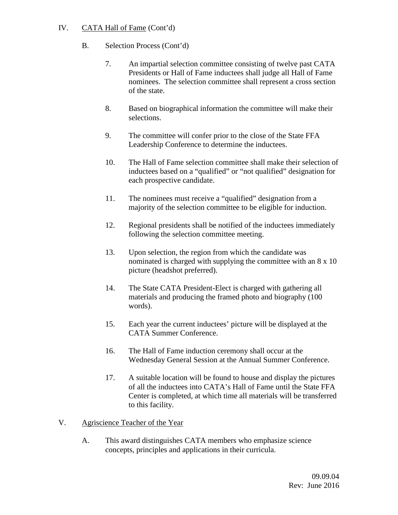## IV. CATA Hall of Fame (Cont'd)

## B. Selection Process (Cont'd)

- 7. An impartial selection committee consisting of twelve past CATA Presidents or Hall of Fame inductees shall judge all Hall of Fame nominees. The selection committee shall represent a cross section of the state.
- 8. Based on biographical information the committee will make their selections.
- 9. The committee will confer prior to the close of the State FFA Leadership Conference to determine the inductees.
- 10. The Hall of Fame selection committee shall make their selection of inductees based on a "qualified" or "not qualified" designation for each prospective candidate.
- 11. The nominees must receive a "qualified" designation from a majority of the selection committee to be eligible for induction.
- 12. Regional presidents shall be notified of the inductees immediately following the selection committee meeting.
- 13. Upon selection, the region from which the candidate was nominated is charged with supplying the committee with an 8 x 10 picture (headshot preferred).
- 14. The State CATA President-Elect is charged with gathering all materials and producing the framed photo and biography (100 words).
- 15. Each year the current inductees' picture will be displayed at the CATA Summer Conference.
- 16. The Hall of Fame induction ceremony shall occur at the Wednesday General Session at the Annual Summer Conference.
- 17. A suitable location will be found to house and display the pictures of all the inductees into CATA's Hall of Fame until the State FFA Center is completed, at which time all materials will be transferred to this facility.

## V. Agriscience Teacher of the Year

A. This award distinguishes CATA members who emphasize science concepts, principles and applications in their curricula.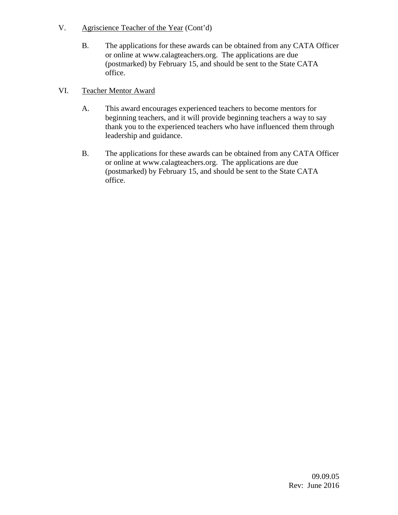- V. Agriscience Teacher of the Year (Cont'd)
	- B. The applications for these awards can be obtained from any CATA Officer or online at www.calagteachers.org. The applications are due (postmarked) by February 15, and should be sent to the State CATA office.

## VI. Teacher Mentor Award

- A. This award encourages experienced teachers to become mentors for beginning teachers, and it will provide beginning teachers a way to say thank you to the experienced teachers who have influenced them through leadership and guidance.
- B. The applications for these awards can be obtained from any CATA Officer or online at www.calagteachers.org. The applications are due (postmarked) by February 15, and should be sent to the State CATA office.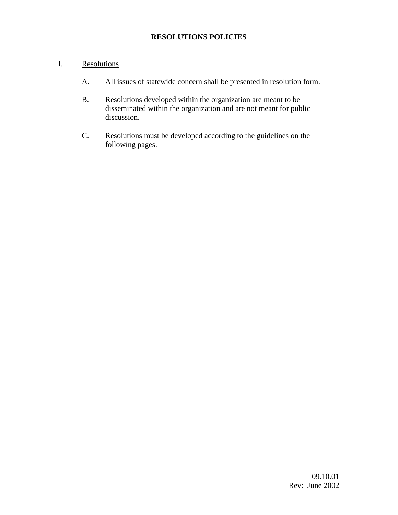## **RESOLUTIONS POLICIES**

### I. Resolutions

- A. All issues of statewide concern shall be presented in resolution form.
- B. Resolutions developed within the organization are meant to be disseminated within the organization and are not meant for public discussion.
- C. Resolutions must be developed according to the guidelines on the following pages.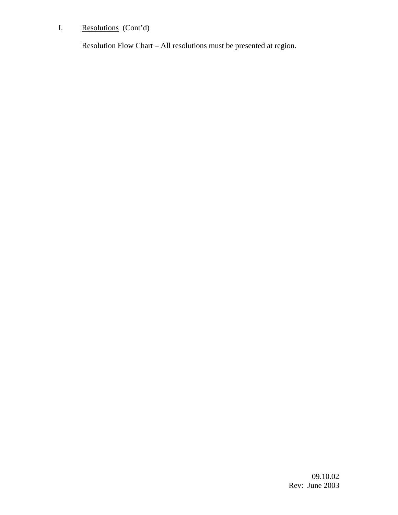# I. Resolutions (Cont'd)

Resolution Flow Chart – All resolutions must be presented at region.